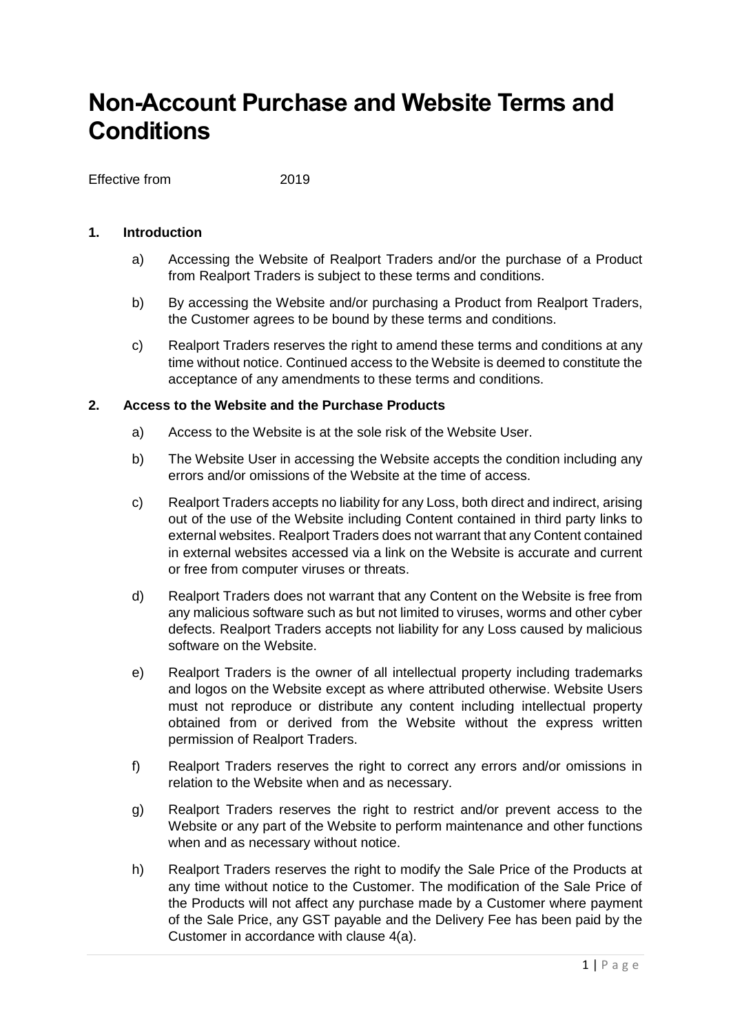# **Non-Account Purchase and Website Terms and Conditions**

Effective from 2019

# **1. Introduction**

- a) Accessing the Website of Realport Traders and/or the purchase of a Product from Realport Traders is subject to these terms and conditions.
- b) By accessing the Website and/or purchasing a Product from Realport Traders, the Customer agrees to be bound by these terms and conditions.
- c) Realport Traders reserves the right to amend these terms and conditions at any time without notice. Continued access to the Website is deemed to constitute the acceptance of any amendments to these terms and conditions.

# **2. Access to the Website and the Purchase Products**

- a) Access to the Website is at the sole risk of the Website User.
- b) The Website User in accessing the Website accepts the condition including any errors and/or omissions of the Website at the time of access.
- c) Realport Traders accepts no liability for any Loss, both direct and indirect, arising out of the use of the Website including Content contained in third party links to external websites. Realport Traders does not warrant that any Content contained in external websites accessed via a link on the Website is accurate and current or free from computer viruses or threats.
- d) Realport Traders does not warrant that any Content on the Website is free from any malicious software such as but not limited to viruses, worms and other cyber defects. Realport Traders accepts not liability for any Loss caused by malicious software on the Website.
- e) Realport Traders is the owner of all intellectual property including trademarks and logos on the Website except as where attributed otherwise. Website Users must not reproduce or distribute any content including intellectual property obtained from or derived from the Website without the express written permission of Realport Traders.
- f) Realport Traders reserves the right to correct any errors and/or omissions in relation to the Website when and as necessary.
- g) Realport Traders reserves the right to restrict and/or prevent access to the Website or any part of the Website to perform maintenance and other functions when and as necessary without notice.
- h) Realport Traders reserves the right to modify the Sale Price of the Products at any time without notice to the Customer. The modification of the Sale Price of the Products will not affect any purchase made by a Customer where payment of the Sale Price, any GST payable and the Delivery Fee has been paid by the Customer in accordance with clause 4(a).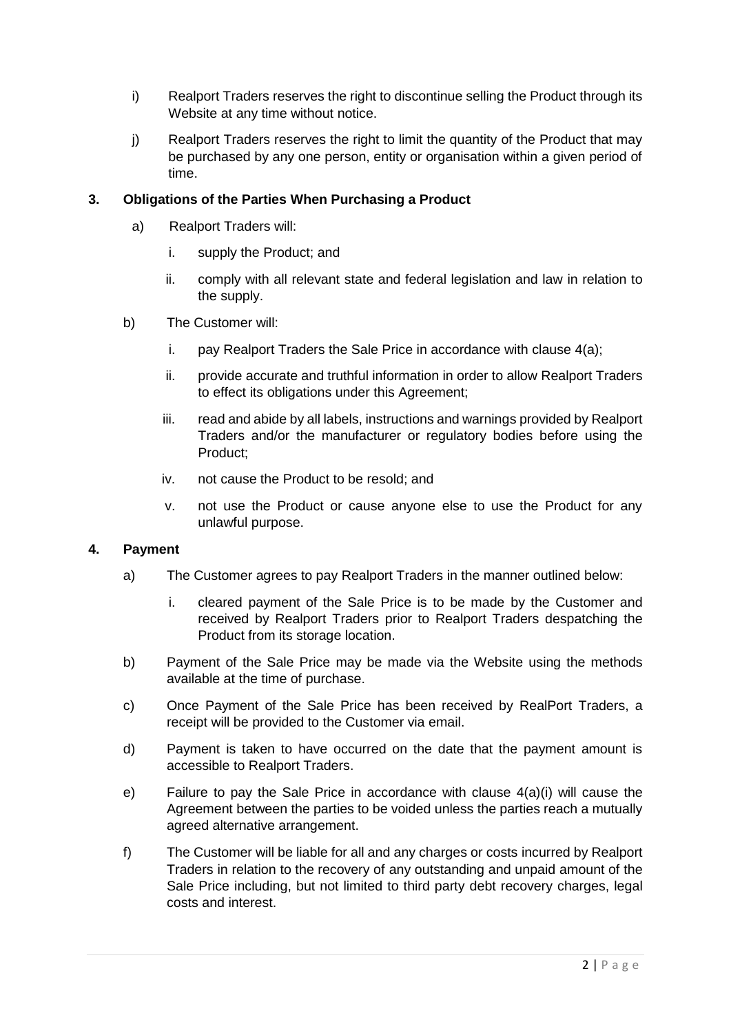- i) Realport Traders reserves the right to discontinue selling the Product through its Website at any time without notice.
- j) Realport Traders reserves the right to limit the quantity of the Product that may be purchased by any one person, entity or organisation within a given period of time.

# **3. Obligations of the Parties When Purchasing a Product**

- a) Realport Traders will:
	- i. supply the Product; and
	- ii. comply with all relevant state and federal legislation and law in relation to the supply.
- b) The Customer will:
	- i. pay Realport Traders the Sale Price in accordance with clause 4(a);
	- ii. provide accurate and truthful information in order to allow Realport Traders to effect its obligations under this Agreement;
	- iii. read and abide by all labels, instructions and warnings provided by Realport Traders and/or the manufacturer or regulatory bodies before using the Product;
	- iv. not cause the Product to be resold; and
	- v. not use the Product or cause anyone else to use the Product for any unlawful purpose.

#### **4. Payment**

- a) The Customer agrees to pay Realport Traders in the manner outlined below:
	- i. cleared payment of the Sale Price is to be made by the Customer and received by Realport Traders prior to Realport Traders despatching the Product from its storage location.
- b) Payment of the Sale Price may be made via the Website using the methods available at the time of purchase.
- c) Once Payment of the Sale Price has been received by RealPort Traders, a receipt will be provided to the Customer via email.
- d) Payment is taken to have occurred on the date that the payment amount is accessible to Realport Traders.
- e) Failure to pay the Sale Price in accordance with clause 4(a)(i) will cause the Agreement between the parties to be voided unless the parties reach a mutually agreed alternative arrangement.
- f) The Customer will be liable for all and any charges or costs incurred by Realport Traders in relation to the recovery of any outstanding and unpaid amount of the Sale Price including, but not limited to third party debt recovery charges, legal costs and interest.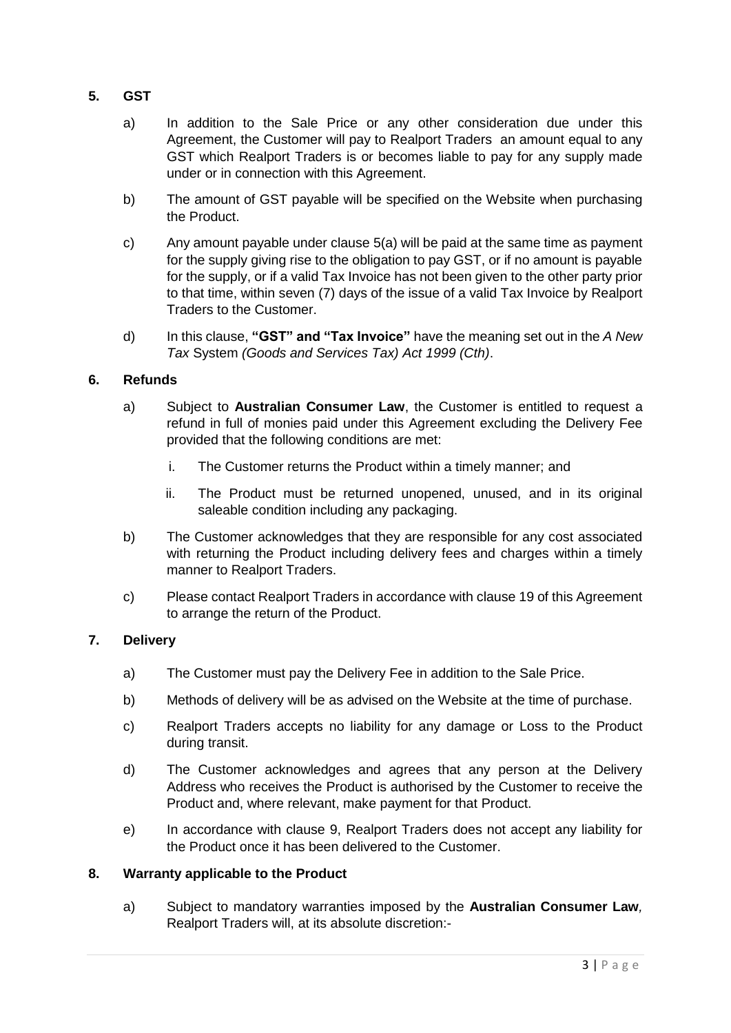- **5. GST**
	- a) In addition to the Sale Price or any other consideration due under this Agreement, the Customer will pay to Realport Traders an amount equal to any GST which Realport Traders is or becomes liable to pay for any supply made under or in connection with this Agreement.
	- b) The amount of GST payable will be specified on the Website when purchasing the Product.
	- c) Any amount payable under clause 5(a) will be paid at the same time as payment for the supply giving rise to the obligation to pay GST, or if no amount is payable for the supply, or if a valid Tax Invoice has not been given to the other party prior to that time, within seven (7) days of the issue of a valid Tax Invoice by Realport Traders to the Customer.
	- d) In this clause, **"GST" and "Tax Invoice"** have the meaning set out in the *A New Tax* System *(Goods and Services Tax) Act 1999 (Cth)*.

# **6. Refunds**

- a) Subject to **Australian Consumer Law**, the Customer is entitled to request a refund in full of monies paid under this Agreement excluding the Delivery Fee provided that the following conditions are met:
	- i. The Customer returns the Product within a timely manner; and
	- ii. The Product must be returned unopened, unused, and in its original saleable condition including any packaging.
- b) The Customer acknowledges that they are responsible for any cost associated with returning the Product including delivery fees and charges within a timely manner to Realport Traders.
- c) Please contact Realport Traders in accordance with clause 19 of this Agreement to arrange the return of the Product.

# **7. Delivery**

- a) The Customer must pay the Delivery Fee in addition to the Sale Price.
- b) Methods of delivery will be as advised on the Website at the time of purchase.
- c) Realport Traders accepts no liability for any damage or Loss to the Product during transit.
- d) The Customer acknowledges and agrees that any person at the Delivery Address who receives the Product is authorised by the Customer to receive the Product and, where relevant, make payment for that Product.
- e) In accordance with clause 9, Realport Traders does not accept any liability for the Product once it has been delivered to the Customer.

#### **8. Warranty applicable to the Product**

a) Subject to mandatory warranties imposed by the **Australian Consumer Law***,*  Realport Traders will, at its absolute discretion:-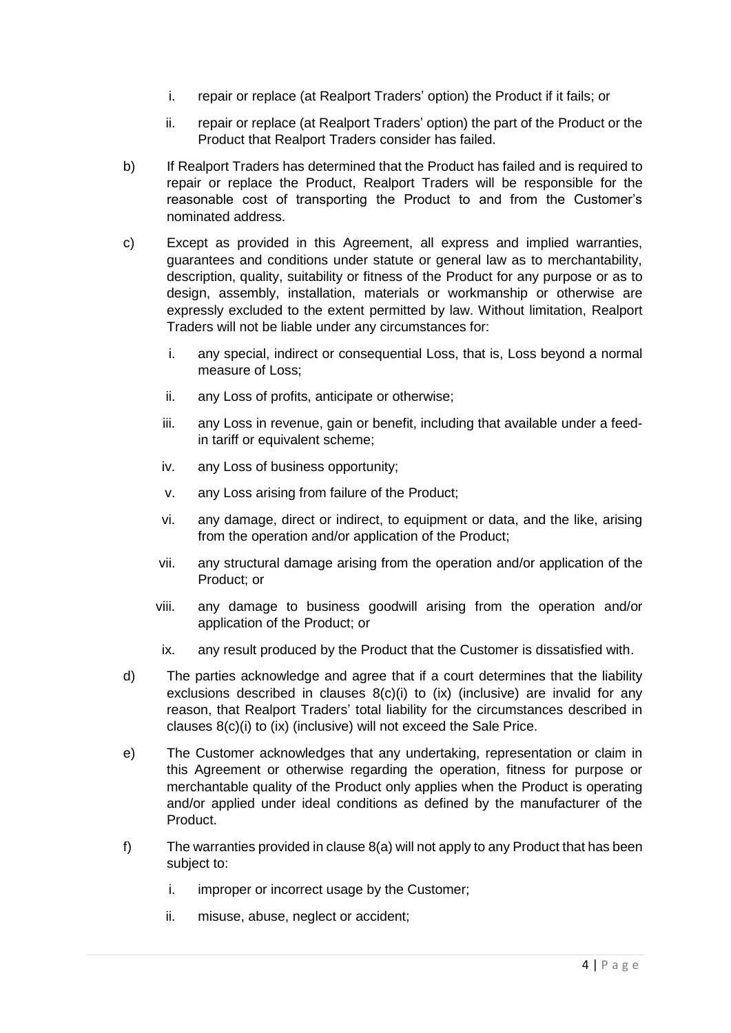- i. repair or replace (at Realport Traders' option) the Product if it fails; or
- ii. repair or replace (at Realport Traders' option) the part of the Product or the Product that Realport Traders consider has failed.
- b) If Realport Traders has determined that the Product has failed and is required to repair or replace the Product, Realport Traders will be responsible for the reasonable cost of transporting the Product to and from the Customer's nominated address.
- c) Except as provided in this Agreement, all express and implied warranties, guarantees and conditions under statute or general law as to merchantability, description, quality, suitability or fitness of the Product for any purpose or as to design, assembly, installation, materials or workmanship or otherwise are expressly excluded to the extent permitted by law. Without limitation, Realport Traders will not be liable under any circumstances for:
	- i. any special, indirect or consequential Loss, that is, Loss beyond a normal measure of Loss;
	- ii. any Loss of profits, anticipate or otherwise;
	- iii. any Loss in revenue, gain or benefit, including that available under a feedin tariff or equivalent scheme;
	- iv. any Loss of business opportunity;
	- v. any Loss arising from failure of the Product;
	- vi. any damage, direct or indirect, to equipment or data, and the like, arising from the operation and/or application of the Product;
	- vii. any structural damage arising from the operation and/or application of the Product; or
	- viii. any damage to business goodwill arising from the operation and/or application of the Product; or
	- ix. any result produced by the Product that the Customer is dissatisfied with.
- d) The parties acknowledge and agree that if a court determines that the liability exclusions described in clauses 8(c)(i) to (ix) (inclusive) are invalid for any reason, that Realport Traders' total liability for the circumstances described in clauses 8(c)(i) to (ix) (inclusive) will not exceed the Sale Price.
- e) The Customer acknowledges that any undertaking, representation or claim in this Agreement or otherwise regarding the operation, fitness for purpose or merchantable quality of the Product only applies when the Product is operating and/or applied under ideal conditions as defined by the manufacturer of the Product.
- f) The warranties provided in clause 8(a) will not apply to any Product that has been subject to:
	- i. improper or incorrect usage by the Customer;
	- ii. misuse, abuse, neglect or accident;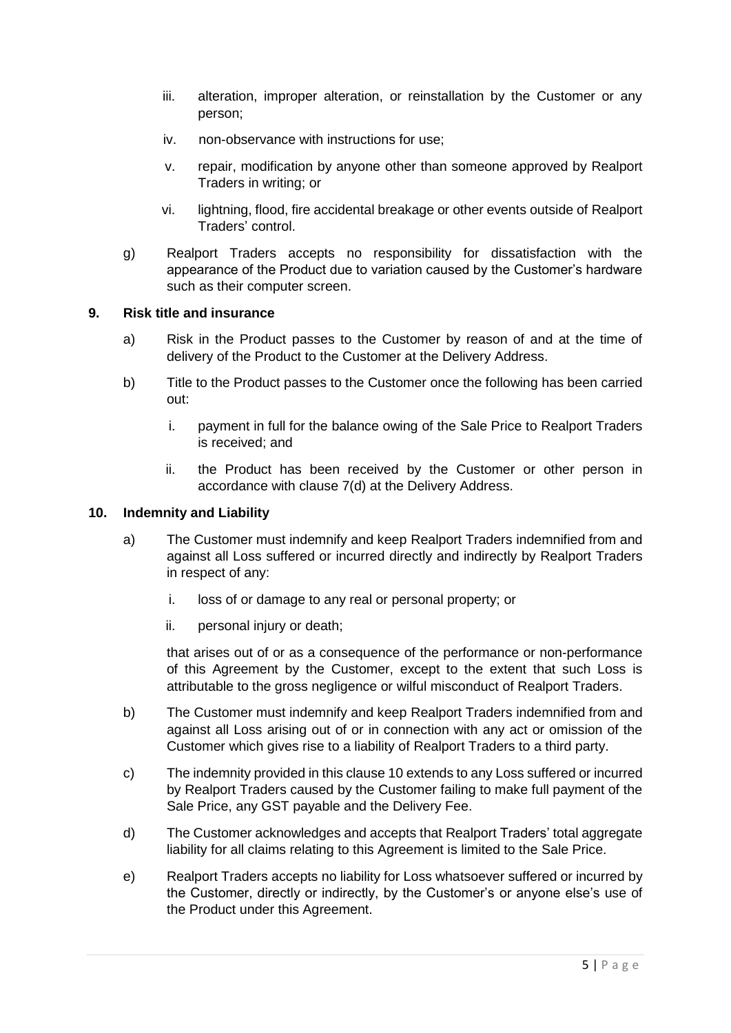- iii. alteration, improper alteration, or reinstallation by the Customer or any person;
- iv. non-observance with instructions for use;
- v. repair, modification by anyone other than someone approved by Realport Traders in writing; or
- vi. lightning, flood, fire accidental breakage or other events outside of Realport Traders' control.
- g) Realport Traders accepts no responsibility for dissatisfaction with the appearance of the Product due to variation caused by the Customer's hardware such as their computer screen.

# **9. Risk title and insurance**

- a) Risk in the Product passes to the Customer by reason of and at the time of delivery of the Product to the Customer at the Delivery Address.
- b) Title to the Product passes to the Customer once the following has been carried out:
	- i. payment in full for the balance owing of the Sale Price to Realport Traders is received; and
	- ii. the Product has been received by the Customer or other person in accordance with clause 7(d) at the Delivery Address.

#### **10. Indemnity and Liability**

- a) The Customer must indemnify and keep Realport Traders indemnified from and against all Loss suffered or incurred directly and indirectly by Realport Traders in respect of any:
	- i. loss of or damage to any real or personal property; or
	- ii. personal injury or death;

that arises out of or as a consequence of the performance or non-performance of this Agreement by the Customer, except to the extent that such Loss is attributable to the gross negligence or wilful misconduct of Realport Traders.

- b) The Customer must indemnify and keep Realport Traders indemnified from and against all Loss arising out of or in connection with any act or omission of the Customer which gives rise to a liability of Realport Traders to a third party.
- c) The indemnity provided in this clause 10 extends to any Loss suffered or incurred by Realport Traders caused by the Customer failing to make full payment of the Sale Price, any GST payable and the Delivery Fee.
- d) The Customer acknowledges and accepts that Realport Traders' total aggregate liability for all claims relating to this Agreement is limited to the Sale Price.
- e) Realport Traders accepts no liability for Loss whatsoever suffered or incurred by the Customer, directly or indirectly, by the Customer's or anyone else's use of the Product under this Agreement.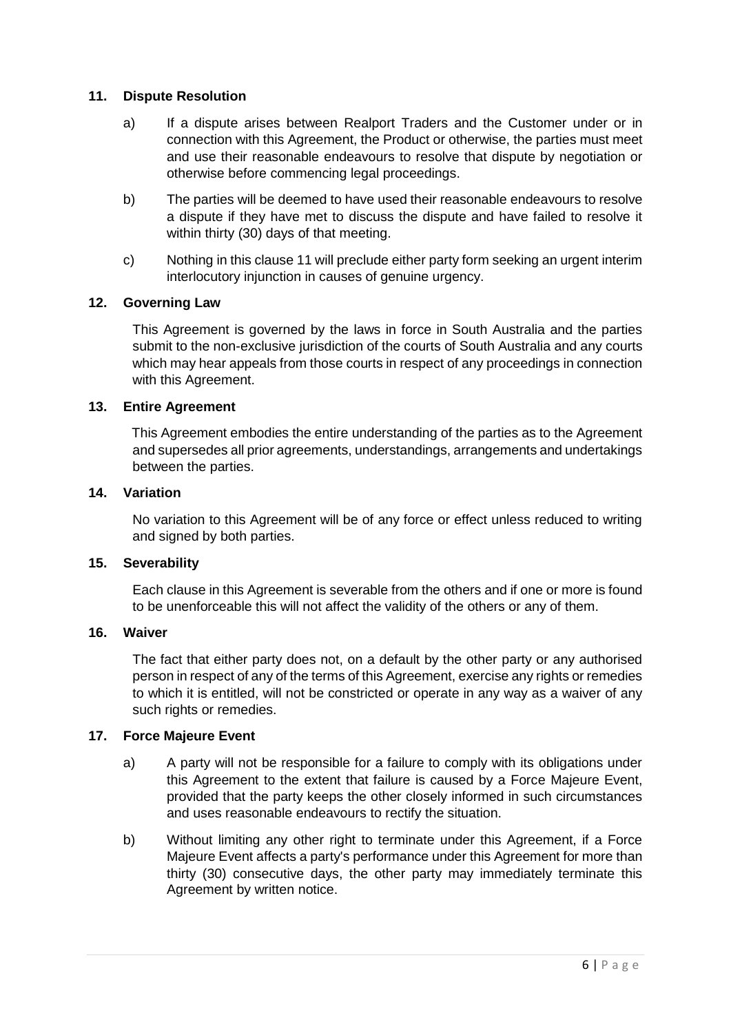#### **11. Dispute Resolution**

- a) If a dispute arises between Realport Traders and the Customer under or in connection with this Agreement, the Product or otherwise, the parties must meet and use their reasonable endeavours to resolve that dispute by negotiation or otherwise before commencing legal proceedings.
- b) The parties will be deemed to have used their reasonable endeavours to resolve a dispute if they have met to discuss the dispute and have failed to resolve it within thirty (30) days of that meeting.
- c) Nothing in this clause 11 will preclude either party form seeking an urgent interim interlocutory injunction in causes of genuine urgency.

#### **12. Governing Law**

This Agreement is governed by the laws in force in South Australia and the parties submit to the non-exclusive jurisdiction of the courts of South Australia and any courts which may hear appeals from those courts in respect of any proceedings in connection with this Agreement.

#### **13. Entire Agreement**

This Agreement embodies the entire understanding of the parties as to the Agreement and supersedes all prior agreements, understandings, arrangements and undertakings between the parties.

#### **14. Variation**

No variation to this Agreement will be of any force or effect unless reduced to writing and signed by both parties.

#### **15. Severability**

Each clause in this Agreement is severable from the others and if one or more is found to be unenforceable this will not affect the validity of the others or any of them.

#### **16. Waiver**

The fact that either party does not, on a default by the other party or any authorised person in respect of any of the terms of this Agreement, exercise any rights or remedies to which it is entitled, will not be constricted or operate in any way as a waiver of any such rights or remedies.

#### **17. Force Majeure Event**

- a) A party will not be responsible for a failure to comply with its obligations under this Agreement to the extent that failure is caused by a Force Majeure Event, provided that the party keeps the other closely informed in such circumstances and uses reasonable endeavours to rectify the situation.
- b) Without limiting any other right to terminate under this Agreement, if a Force Majeure Event affects a party's performance under this Agreement for more than thirty (30) consecutive days, the other party may immediately terminate this Agreement by written notice.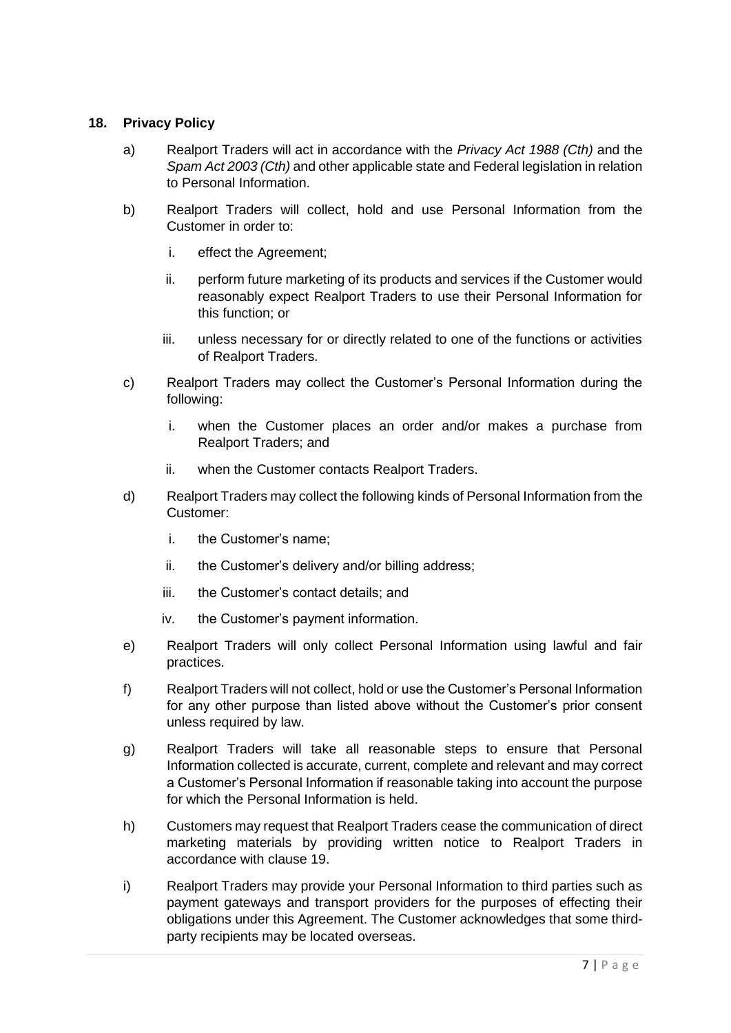# **18. Privacy Policy**

- a) Realport Traders will act in accordance with the *Privacy Act 1988 (Cth)* and the *Spam Act 2003 (Cth)* and other applicable state and Federal legislation in relation to Personal Information.
- b) Realport Traders will collect, hold and use Personal Information from the Customer in order to:
	- i. effect the Agreement;
	- ii. perform future marketing of its products and services if the Customer would reasonably expect Realport Traders to use their Personal Information for this function; or
	- iii. unless necessary for or directly related to one of the functions or activities of Realport Traders.
- c) Realport Traders may collect the Customer's Personal Information during the following:
	- i. when the Customer places an order and/or makes a purchase from Realport Traders; and
	- ii. when the Customer contacts Realport Traders.
- d) Realport Traders may collect the following kinds of Personal Information from the Customer:
	- i. the Customer's name;
	- ii. the Customer's delivery and/or billing address;
	- iii. the Customer's contact details; and
	- iv. the Customer's payment information.
- e) Realport Traders will only collect Personal Information using lawful and fair practices.
- f) Realport Traders will not collect, hold or use the Customer's Personal Information for any other purpose than listed above without the Customer's prior consent unless required by law.
- g) Realport Traders will take all reasonable steps to ensure that Personal Information collected is accurate, current, complete and relevant and may correct a Customer's Personal Information if reasonable taking into account the purpose for which the Personal Information is held.
- h) Customers may request that Realport Traders cease the communication of direct marketing materials by providing written notice to Realport Traders in accordance with clause 19.
- i) Realport Traders may provide your Personal Information to third parties such as payment gateways and transport providers for the purposes of effecting their obligations under this Agreement. The Customer acknowledges that some thirdparty recipients may be located overseas.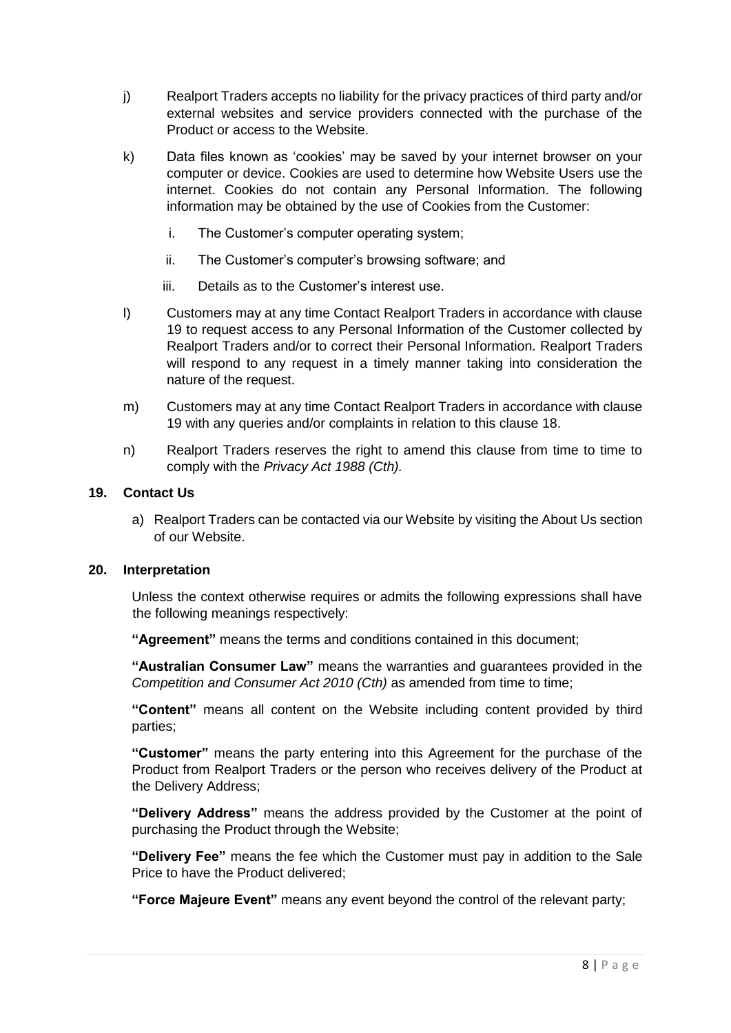- j) Realport Traders accepts no liability for the privacy practices of third party and/or external websites and service providers connected with the purchase of the Product or access to the Website.
- k) Data files known as 'cookies' may be saved by your internet browser on your computer or device. Cookies are used to determine how Website Users use the internet. Cookies do not contain any Personal Information. The following information may be obtained by the use of Cookies from the Customer:
	- i. The Customer's computer operating system;
	- ii. The Customer's computer's browsing software; and
	- iii. Details as to the Customer's interest use.
- l) Customers may at any time Contact Realport Traders in accordance with clause 19 to request access to any Personal Information of the Customer collected by Realport Traders and/or to correct their Personal Information. Realport Traders will respond to any request in a timely manner taking into consideration the nature of the request.
- m) Customers may at any time Contact Realport Traders in accordance with clause 19 with any queries and/or complaints in relation to this clause 18.
- n) Realport Traders reserves the right to amend this clause from time to time to comply with the *Privacy Act 1988 (Cth).*

#### **19. Contact Us**

a) Realport Traders can be contacted via our Website by visiting the About Us section of our Website.

#### **20. Interpretation**

Unless the context otherwise requires or admits the following expressions shall have the following meanings respectively:

**"Agreement"** means the terms and conditions contained in this document;

**"Australian Consumer Law"** means the warranties and guarantees provided in the *Competition and Consumer Act 2010 (Cth)* as amended from time to time;

**"Content"** means all content on the Website including content provided by third parties;

**"Customer"** means the party entering into this Agreement for the purchase of the Product from Realport Traders or the person who receives delivery of the Product at the Delivery Address;

**"Delivery Address"** means the address provided by the Customer at the point of purchasing the Product through the Website;

**"Delivery Fee"** means the fee which the Customer must pay in addition to the Sale Price to have the Product delivered;

**"Force Majeure Event"** means any event beyond the control of the relevant party;